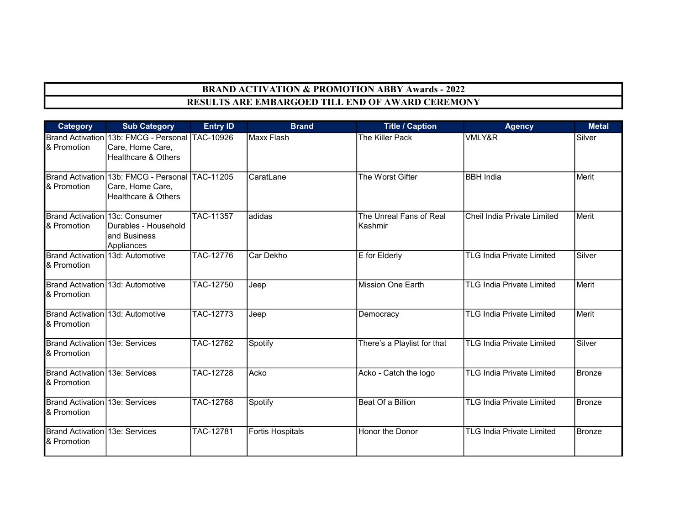## BRAND ACTIVATION & PROMOTION ABBY Awards - 2022 RESULTS ARE EMBARGOED TILL END OF AWARD CEREMONY

| <b>Category</b>                                 | <b>Sub Category</b>                                                                                   | <b>Entry ID</b>  | <b>Brand</b>            | <b>Title / Caption</b>             | <b>Agency</b>                    | <b>Metal</b>  |
|-------------------------------------------------|-------------------------------------------------------------------------------------------------------|------------------|-------------------------|------------------------------------|----------------------------------|---------------|
| & Promotion                                     | Brand Activation 13b: FMCG - Personal TAC-10926<br>Care, Home Care,<br><b>Healthcare &amp; Others</b> |                  | Maxx Flash              | The Killer Pack                    | VMLY&R                           | Silver        |
| & Promotion                                     | Brand Activation 13b: FMCG - Personal TAC-11205<br>Care, Home Care,<br><b>Healthcare &amp; Others</b> |                  | CaratLane               | The Worst Gifter                   | <b>BBH</b> India                 | Merit         |
| Brand Activation 13c: Consumer<br>& Promotion   | Durables - Household<br>land Business<br>Appliances                                                   | TAC-11357        | adidas                  | The Unreal Fans of Real<br>Kashmir | Cheil India Private Limited      | Merit         |
| Brand Activation 13d: Automotive<br>& Promotion |                                                                                                       | TAC-12776        | Car Dekho               | E for Elderly                      | <b>TLG India Private Limited</b> | Silver        |
| Brand Activation 13d: Automotive<br>& Promotion |                                                                                                       | TAC-12750        | Jeep                    | <b>Mission One Earth</b>           | <b>TLG India Private Limited</b> | Merit         |
| Brand Activation 13d: Automotive<br>& Promotion |                                                                                                       | TAC-12773        | Jeep                    | Democracy                          | <b>TLG India Private Limited</b> | Merit         |
| Brand Activation 13e: Services<br>& Promotion   |                                                                                                       | <b>TAC-12762</b> | Spotify                 | There's a Playlist for that        | <b>TLG India Private Limited</b> | Silver        |
| Brand Activation 13e: Services<br>& Promotion   |                                                                                                       | TAC-12728        | Acko                    | Acko - Catch the logo              | <b>TLG India Private Limited</b> | Bronze        |
| Brand Activation 13e: Services<br>& Promotion   |                                                                                                       | <b>TAC-12768</b> | Spotify                 | Beat Of a Billion                  | <b>TLG India Private Limited</b> | <b>Bronze</b> |
| Brand Activation 13e: Services<br>& Promotion   |                                                                                                       | <b>TAC-12781</b> | <b>Fortis Hospitals</b> | Honor the Donor                    | <b>TLG India Private Limited</b> | Bronze        |